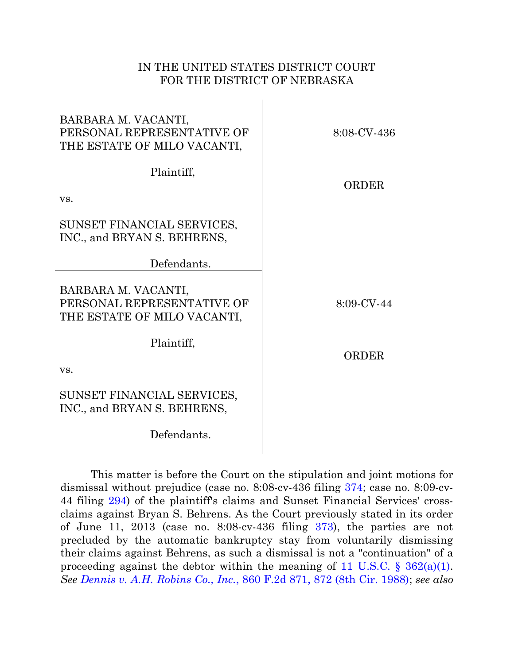## IN THE UNITED STATES DISTRICT COURT FOR THE DISTRICT OF NEBRASKA

 $\mathbf{I}$ 

| BARBARA M. VACANTI,<br>PERSONAL REPRESENTATIVE OF<br>THE ESTATE OF MILO VACANTI, | 8:08-CV-436   |
|----------------------------------------------------------------------------------|---------------|
| Plaintiff,<br>VS.                                                                | ORDER         |
| SUNSET FINANCIAL SERVICES,<br>INC., and BRYAN S. BEHRENS,                        |               |
| Defendants.                                                                      |               |
| BARBARA M. VACANTI,<br>PERSONAL REPRESENTATIVE OF<br>THE ESTATE OF MILO VACANTI, | $8:09$ -CV-44 |
| Plaintiff,                                                                       |               |
| VS.                                                                              | ORDER         |
| SUNSET FINANCIAL SERVICES,<br>INC., and BRYAN S. BEHRENS,                        |               |
| Defendants.                                                                      |               |

This matter is before the Court on the stipulation and joint motions for dismissal without prejudice (case no. 8:08-cv-436 filing [374;](https://ecf.ned.uscourts.gov/doc1/11312832621) case no. 8:09-cv-44 filing [294\)](https://ecf.ned.uscourts.gov/doc1/11312832630) of the plaintiff's claims and Sunset Financial Services' crossclaims against Bryan S. Behrens. As the Court previously stated in its order of June 11, 2013 (case no. 8:08-cv-436 filing [373\)](https://ecf.ned.uscourts.gov/doc1/11312803262), the parties are not precluded by the automatic bankruptcy stay from voluntarily dismissing their claims against Behrens, as such a dismissal is not a "continuation" of a proceeding against the debtor within the meaning of 11 U.S.C.  $\S$  362(a)(1). *See Dennis v. A.H. Robins Co., Inc.*[, 860 F.2d 871, 872 \(8th Cir. 1988\);](http://web2.westlaw.com/find/default.wl?cite=860+F.2d+871&rs=WLW13.04&vr=2.0&rp=%2ffind%2fdefault.wl&sv=Split&fn=_top&mt=Westlaw) *see also*